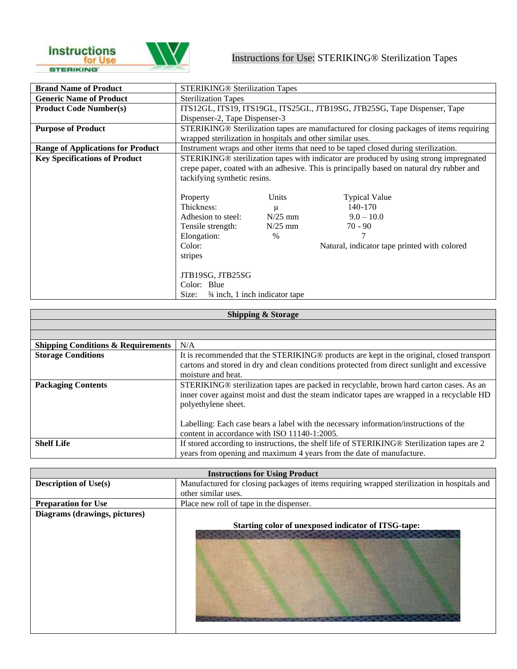

| <b>Brand Name of Product</b>             | <b>STERIKING® Sterilization Tapes</b>                                                  |           |                                                                                                     |
|------------------------------------------|----------------------------------------------------------------------------------------|-----------|-----------------------------------------------------------------------------------------------------|
| <b>Generic Name of Product</b>           | <b>Sterilization Tapes</b>                                                             |           |                                                                                                     |
| <b>Product Code Number(s)</b>            |                                                                                        |           | ITS12GL, ITS19, ITS19GL, ITS25GL, JTB19SG, JTB25SG, Tape Dispenser, Tape                            |
|                                          | Dispenser-2, Tape Dispenser-3                                                          |           |                                                                                                     |
| <b>Purpose of Product</b>                |                                                                                        |           | STERIKING <sup>®</sup> Sterilization tapes are manufactured for closing packages of items requiring |
|                                          | wrapped sterilization in hospitals and other similar uses.                             |           |                                                                                                     |
| <b>Range of Applications for Product</b> |                                                                                        |           | Instrument wraps and other items that need to be taped closed during sterilization.                 |
| <b>Key Specifications of Product</b>     | STERIKING® sterilization tapes with indicator are produced by using strong impregnated |           |                                                                                                     |
|                                          |                                                                                        |           | crepe paper, coated with an adhesive. This is principally based on natural dry rubber and           |
|                                          | tackifying synthetic resins.                                                           |           |                                                                                                     |
|                                          |                                                                                        |           |                                                                                                     |
|                                          | Property                                                                               | Units     | <b>Typical Value</b>                                                                                |
|                                          | Thickness:                                                                             | $\mu$     | $140 - 170$                                                                                         |
|                                          | Adhesion to steel:                                                                     | $N/25$ mm | $9.0 - 10.0$                                                                                        |
|                                          | Tensile strength:                                                                      | $N/25$ mm | $70 - 90$                                                                                           |
|                                          | Elongation:                                                                            | $\%$      |                                                                                                     |
|                                          | Color:                                                                                 |           | Natural, indicator tape printed with colored                                                        |
|                                          | stripes                                                                                |           |                                                                                                     |
|                                          |                                                                                        |           |                                                                                                     |
|                                          | JTB19SG, JTB25SG                                                                       |           |                                                                                                     |
|                                          | Color: Blue                                                                            |           |                                                                                                     |
|                                          | Size: $\frac{3}{4}$ inch, 1 inch indicator tape                                        |           |                                                                                                     |

| <b>Shipping &amp; Storage</b>                 |                                                                                             |  |
|-----------------------------------------------|---------------------------------------------------------------------------------------------|--|
|                                               |                                                                                             |  |
|                                               |                                                                                             |  |
| <b>Shipping Conditions &amp; Requirements</b> | N/A                                                                                         |  |
| <b>Storage Conditions</b>                     | It is recommended that the STERIKING® products are kept in the original, closed transport   |  |
|                                               | cartons and stored in dry and clean conditions protected from direct sunlight and excessive |  |
|                                               | moisture and heat.                                                                          |  |
| <b>Packaging Contents</b>                     | STERIKING® sterilization tapes are packed in recyclable, brown hard carton cases. As an     |  |
|                                               | inner cover against moist and dust the steam indicator tapes are wrapped in a recyclable HD |  |
|                                               | polyethylene sheet.                                                                         |  |
|                                               |                                                                                             |  |
|                                               | Labelling: Each case bears a label with the necessary information/instructions of the       |  |
|                                               | content in accordance with ISO 11140-1:2005.                                                |  |
| <b>Shelf Life</b>                             | If stored according to instructions, the shelf life of STERIKING® Sterilization tapes are 2 |  |
|                                               | years from opening and maximum 4 years from the date of manufacture.                        |  |

| <b>Instructions for Using Product</b> |                                                                                             |  |
|---------------------------------------|---------------------------------------------------------------------------------------------|--|
| <b>Description of Use(s)</b>          | Manufactured for closing packages of items requiring wrapped sterilization in hospitals and |  |
|                                       | other similar uses.                                                                         |  |
| <b>Preparation for Use</b>            | Place new roll of tape in the dispenser.                                                    |  |
| Diagrams (drawings, pictures)         |                                                                                             |  |
|                                       | Starting color of unexposed indicator of ITSG-tape:                                         |  |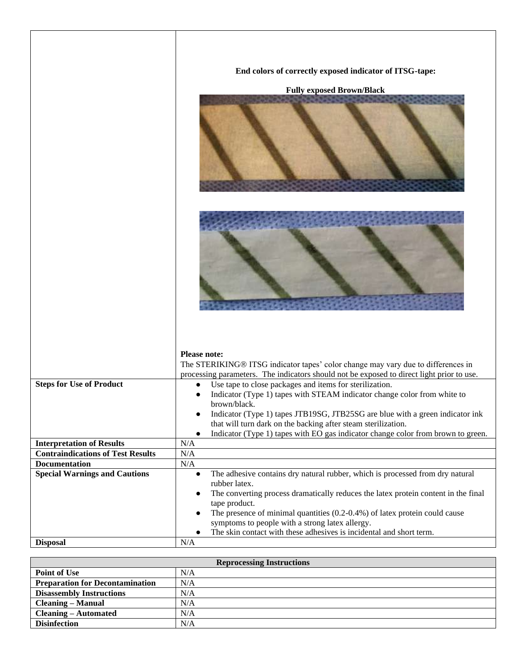|                                                                              | End colors of correctly exposed indicator of ITSG-tape:                                                     |  |
|------------------------------------------------------------------------------|-------------------------------------------------------------------------------------------------------------|--|
|                                                                              | <b>Fully exposed Brown/Black</b>                                                                            |  |
|                                                                              |                                                                                                             |  |
|                                                                              |                                                                                                             |  |
|                                                                              |                                                                                                             |  |
|                                                                              | <b>Please note:</b><br>The STERIKING® ITSG indicator tapes' color change may vary due to differences in     |  |
|                                                                              | processing parameters. The indicators should not be exposed to direct light prior to use.                   |  |
| <b>Steps for Use of Product</b>                                              | Use tape to close packages and items for sterilization.<br>$\bullet$                                        |  |
|                                                                              | Indicator (Type 1) tapes with STEAM indicator change color from white to<br>brown/black.                    |  |
|                                                                              | Indicator (Type 1) tapes JTB19SG, JTB25SG are blue with a green indicator ink<br>$\bullet$                  |  |
|                                                                              | that will turn dark on the backing after steam sterilization.                                               |  |
|                                                                              | Indicator (Type 1) tapes with EO gas indicator change color from brown to green.<br>$\bullet$               |  |
| <b>Interpretation of Results</b><br><b>Contraindications of Test Results</b> | N/A<br>N/A                                                                                                  |  |
| <b>Documentation</b>                                                         | $\rm N/A$                                                                                                   |  |
| <b>Special Warnings and Cautions</b>                                         | The adhesive contains dry natural rubber, which is processed from dry natural<br>$\bullet$                  |  |
|                                                                              | rubber latex.                                                                                               |  |
|                                                                              | The converting process dramatically reduces the latex protein content in the final<br>$\bullet$             |  |
|                                                                              | tape product.<br>The presence of minimal quantities $(0.2-0.4\%)$ of latex protein could cause<br>$\bullet$ |  |
|                                                                              | symptoms to people with a strong latex allergy.                                                             |  |
|                                                                              | The skin contact with these adhesives is incidental and short term.                                         |  |
| <b>Disposal</b>                                                              | N/A                                                                                                         |  |

| <b>Reprocessing Instructions</b>       |     |  |
|----------------------------------------|-----|--|
| <b>Point of Use</b>                    | N/A |  |
| <b>Preparation for Decontamination</b> | N/A |  |
| <b>Disassembly Instructions</b>        | N/A |  |
| <b>Cleaning – Manual</b>               | N/A |  |
| Cleaning – Automated                   | N/A |  |
| <b>Disinfection</b>                    | N/A |  |